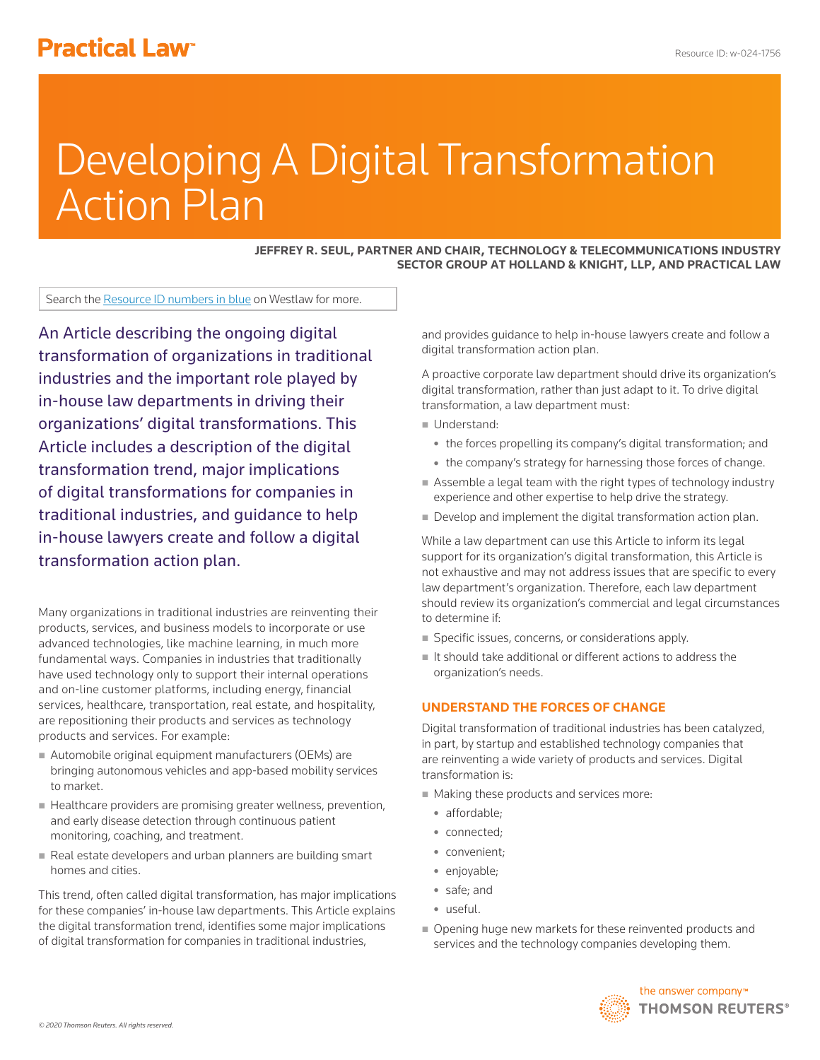# **Practical Law<sup>®</sup>**

# Developing A Digital Transformation Action Plan

**JEFFREY R. SEUL, PARTNER AND CHAIR, TECHNOLOGY & TELECOMMUNICATIONS INDUSTRY SECTOR GROUP AT HOLLAND & KNIGHT, LLP, AND PRACTICAL LAW**

Search the Resource ID numbers in blue on Westlaw for more.

An Article describing the ongoing digital transformation of organizations in traditional industries and the important role played by in-house law departments in driving their organizations' digital transformations. This Article includes a description of the digital transformation trend, major implications of digital transformations for companies in traditional industries, and guidance to help in-house lawyers create and follow a digital transformation action plan.

Many organizations in traditional industries are reinventing their products, services, and business models to incorporate or use advanced technologies, like machine learning, in much more fundamental ways. Companies in industries that traditionally have used technology only to support their internal operations and on-line customer platforms, including energy, financial services, healthcare, transportation, real estate, and hospitality, are repositioning their products and services as technology products and services. For example:

- Automobile original equipment manufacturers (OEMs) are bringing autonomous vehicles and app-based mobility services to market.
- Healthcare providers are promising greater wellness, prevention, and early disease detection through continuous patient monitoring, coaching, and treatment.
- Real estate developers and urban planners are building smart homes and cities.

This trend, often called digital transformation, has major implications for these companies' in-house law departments. This Article explains the digital transformation trend, identifies some major implications of digital transformation for companies in traditional industries,

and provides guidance to help in-house lawyers create and follow a digital transformation action plan.

A proactive corporate law department should drive its organization's digital transformation, rather than just adapt to it. To drive digital transformation, a law department must:

- Understand:
	- the forces propelling its company's digital transformation; and
	- the company's strategy for harnessing those forces of change.
- Assemble a legal team with the right types of technology industry experience and other expertise to help drive the strategy.
- Develop and implement the digital transformation action plan.

While a law department can use this Article to inform its legal support for its organization's digital transformation, this Article is not exhaustive and may not address issues that are specific to every law department's organization. Therefore, each law department should review its organization's commercial and legal circumstances to determine if:

- Specific issues, concerns, or considerations apply.
- $\blacksquare$  It should take additional or different actions to address the organization's needs.

# **UNDERSTAND THE FORCES OF CHANGE**

Digital transformation of traditional industries has been catalyzed, in part, by startup and established technology companies that are reinventing a wide variety of products and services. Digital transformation is:

- **Making these products and services more:** 
	- affordable:
	- connected;
	- convenient;
	- enjoyable;
	- safe; and
	- useful.
- Opening huge new markets for these reinvented products and services and the technology companies developing them.

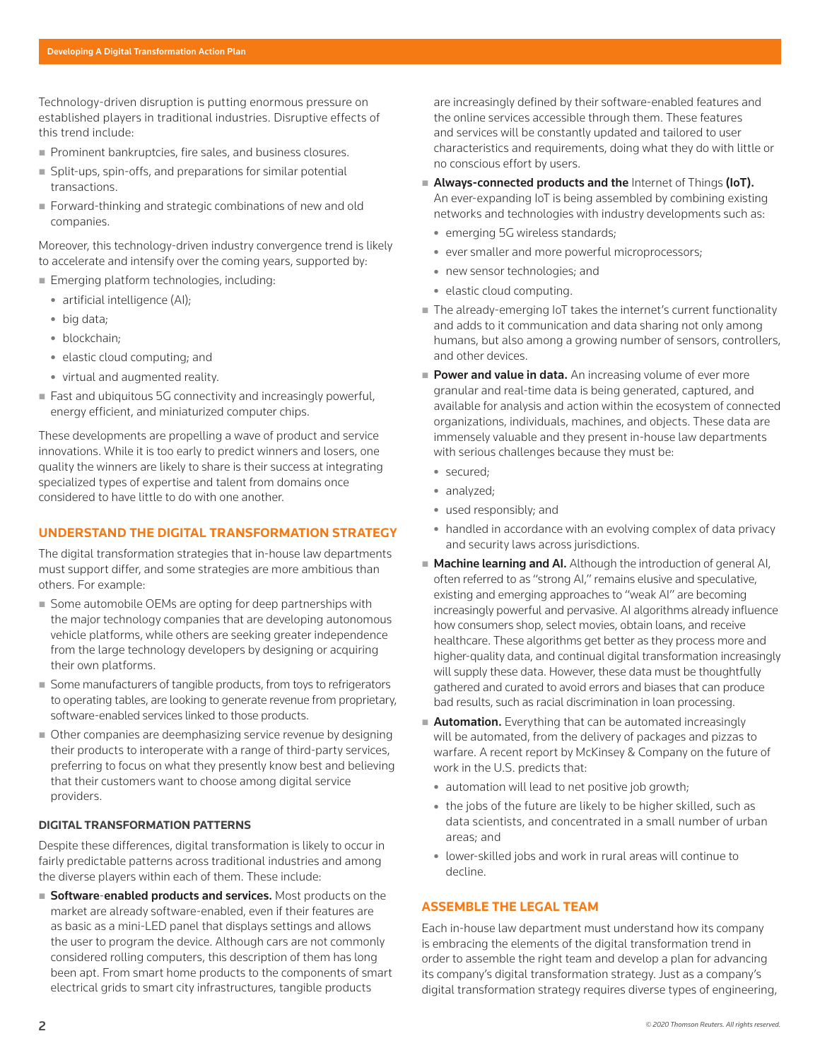Technology-driven disruption is putting enormous pressure on established players in traditional industries. Disruptive effects of this trend include:

- Prominent bankruptcies, fire sales, and business closures.
- Split-ups, spin-offs, and preparations for similar potential transactions.
- Forward-thinking and strategic combinations of new and old companies.

Moreover, this technology-driven industry convergence trend is likely to accelerate and intensify over the coming years, supported by:

- **Emerging platform technologies, including:** 
	- artificial intelligence (AI);
	- big data;
	- blockchain;
	- $\bullet$  elastic cloud computing; and
	- virtual and augmented reality.
- Fast and ubiquitous 5G connectivity and increasingly powerful, energy efficient, and miniaturized computer chips.

These developments are propelling a wave of product and service innovations. While it is too early to predict winners and losers, one quality the winners are likely to share is their success at integrating specialized types of expertise and talent from domains once considered to have little to do with one another.

# **UNDERSTAND THE DIGITAL TRANSFORMATION STRATEGY**

The digital transformation strategies that in-house law departments must support differ, and some strategies are more ambitious than others. For example:

- Some automobile OEMs are opting for deep partnerships with the major technology companies that are developing autonomous vehicle platforms, while others are seeking greater independence from the large technology developers by designing or acquiring their own platforms.
- Some manufacturers of tangible products, from toys to refrigerators to operating tables, are looking to generate revenue from proprietary, software-enabled services linked to those products.
- Other companies are deemphasizing service revenue by designing their products to interoperate with a range of third-party services, preferring to focus on what they presently know best and believing that their customers want to choose among digital service providers.

# **DIGITAL TRANSFORMATION PATTERNS**

Despite these differences, digital transformation is likely to occur in fairly predictable patterns across traditional industries and among the diverse players within each of them. These include:

Software-enabled products and services. Most products on the market are already software-enabled, even if their features are as basic as a mini-LED panel that displays settings and allows the user to program the device. Although cars are not commonly considered rolling computers, this description of them has long been apt. From smart home products to the components of smart electrical grids to smart city infrastructures, tangible products

are increasingly defined by their software-enabled features and the online services accessible through them. These features and services will be constantly updated and tailored to user characteristics and requirements, doing what they do with little or no conscious effort by users.

- Always-connected products and the Internet of Things (IoT). An ever-expanding IoT is being assembled by combining existing networks and technologies with industry developments such as:
	- emerging 5G wireless standards;
	- ever smaller and more powerful microprocessors;
	- new sensor technologies; and
	- elastic cloud computing.
- The already-emerging IoT takes the internet's current functionality and adds to it communication and data sharing not only among humans, but also among a growing number of sensors, controllers, and other devices.
- Power and value in data. An increasing volume of ever more granular and real-time data is being generated, captured, and available for analysis and action within the ecosystem of connected organizations, individuals, machines, and objects. These data are immensely valuable and they present in-house law departments with serious challenges because they must be:
	- secured;
	- analyzed;
	- used responsibly; and
	- handled in accordance with an evolving complex of data privacy and security laws across jurisdictions.
- **Machine learning and AI.** Although the introduction of general AI, often referred to as "strong AI," remains elusive and speculative, existing and emerging approaches to "weak AI" are becoming increasingly powerful and pervasive. AI algorithms already influence how consumers shop, select movies, obtain loans, and receive healthcare. These algorithms get better as they process more and higher-quality data, and continual digital transformation increasingly will supply these data. However, these data must be thoughtfully gathered and curated to avoid errors and biases that can produce bad results, such as racial discrimination in loan processing.
- **Automation.** Everything that can be automated increasingly will be automated, from the delivery of packages and pizzas to warfare. A recent report by McKinsey & Company on the future of work in the U.S. predicts that:
	- automation will lead to net positive job growth;
	- the jobs of the future are likely to be higher skilled, such as data scientists, and concentrated in a small number of urban areas; and
	- lower-skilled jobs and work in rural areas will continue to decline.

# **ASSEMBLE THE LEGAL TEAM**

Each in-house law department must understand how its company is embracing the elements of the digital transformation trend in order to assemble the right team and develop a plan for advancing its company's digital transformation strategy. Just as a company's digital transformation strategy requires diverse types of engineering,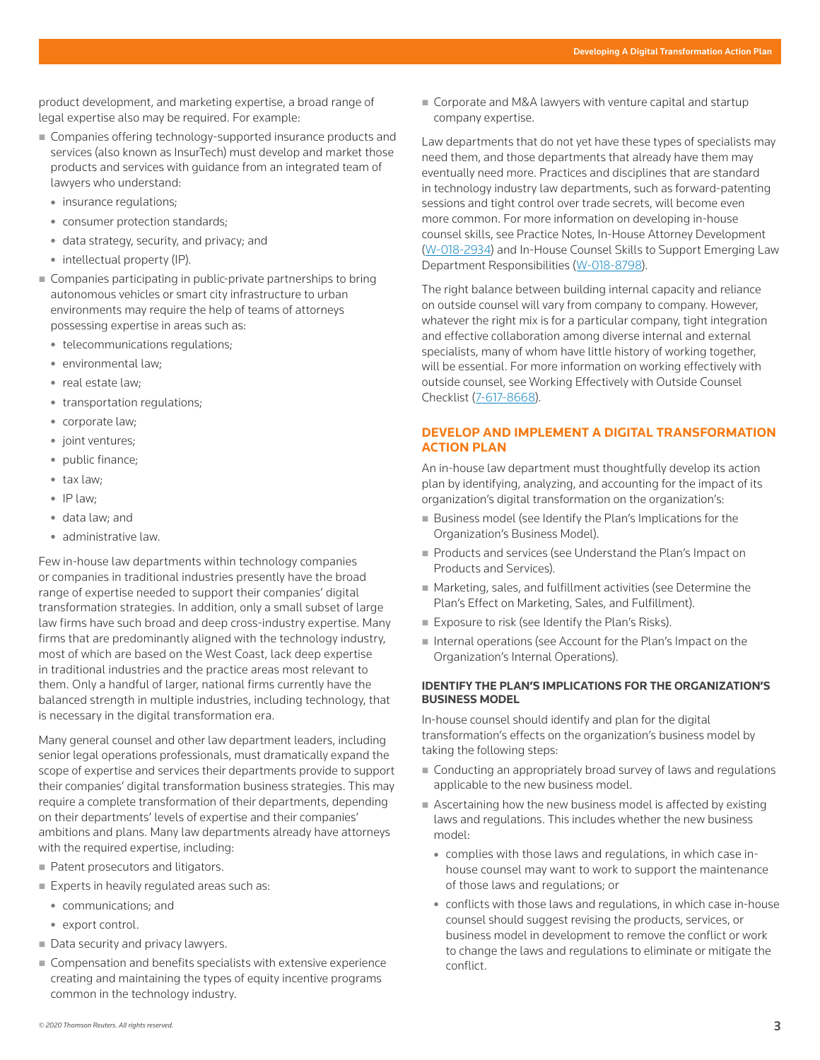product development, and marketing expertise, a broad range of legal expertise also may be required. For example:

- Companies offering technology-supported insurance products and services (also known as InsurTech) must develop and market those products and services with guidance from an integrated team of lawyers who understand:
	- insurance regulations;
	- consumer protection standards;
	- $\bullet$  data strategy, security, and privacy; and
	- intellectual property (IP).
- **Companies participating in public-private partnerships to bring** autonomous vehicles or smart city infrastructure to urban environments may require the help of teams of attorneys possessing expertise in areas such as:
	- telecommunications regulations;
	- environmental law;
	- real estate law;
	- transportation regulations;
	- corporate law;
	- joint ventures;
	- public finance;
	- tax law;
	- $\bullet$  IP law;
	- data law; and
	- administrative law.

Few in-house law departments within technology companies or companies in traditional industries presently have the broad range of expertise needed to support their companies' digital transformation strategies. In addition, only a small subset of large law firms have such broad and deep cross-industry expertise. Many firms that are predominantly aligned with the technology industry, most of which are based on the West Coast, lack deep expertise in traditional industries and the practice areas most relevant to them. Only a handful of larger, national firms currently have the balanced strength in multiple industries, including technology, that is necessary in the digital transformation era.

Many general counsel and other law department leaders, including senior legal operations professionals, must dramatically expand the scope of expertise and services their departments provide to support their companies' digital transformation business strategies. This may require a complete transformation of their departments, depending on their departments' levels of expertise and their companies' ambitions and plans. Many law departments already have attorneys with the required expertise, including:

- Patent prosecutors and litigators.
- Experts in heavily regulated areas such as:
	- communications; and
	- export control.
- Data security and privacy lawyers.
- Compensation and benefits specialists with extensive experience creating and maintaining the types of equity incentive programs common in the technology industry.

Corporate and M&A lawyers with venture capital and startup company expertise.

Law departments that do not yet have these types of specialists may need them, and those departments that already have them may eventually need more. Practices and disciplines that are standard in technology industry law departments, such as forward-patenting sessions and tight control over trade secrets, will become even more common. For more information on developing in-house counsel skills, see Practice Notes, In-House Attorney Development (W-018-2934) and In-House Counsel Skills to Support Emerging Law Department Responsibilities (W-018-8798).

The right balance between building internal capacity and reliance on outside counsel will vary from company to company. However, whatever the right mix is for a particular company, tight integration and effective collaboration among diverse internal and external specialists, many of whom have little history of working together, will be essential. For more information on working effectively with outside counsel, see Working Effectively with Outside Counsel Checklist (7-617-8668).

# **DEVELOP AND IMPLEMENT A DIGITAL TRANSFORMATION ACTION PLAN**

An in-house law department must thoughtfully develop its action plan by identifying, analyzing, and accounting for the impact of its organization's digital transformation on the organization's:

- Business model (see Identify the Plan's Implications for the Organization's Business Model).
- Products and services (see Understand the Plan's Impact on Products and Services).
- Marketing, sales, and fulfillment activities (see Determine the Plan's Effect on Marketing, Sales, and Fulfillment).
- Exposure to risk (see Identify the Plan's Risks).
- Internal operations (see Account for the Plan's Impact on the Organization's Internal Operations).

#### **IDENTIFY THE PLAN'S IMPLICATIONS FOR THE ORGANIZATION'S BUSINESS MODEL**

In-house counsel should identify and plan for the digital transformation's effects on the organization's business model by taking the following steps:

- Conducting an appropriately broad survey of laws and regulations applicable to the new business model.
- Ascertaining how the new business model is affected by existing laws and regulations. This includes whether the new business model:
	- complies with those laws and regulations, in which case inhouse counsel may want to work to support the maintenance of those laws and regulations; or
	- conflicts with those laws and regulations, in which case in-house counsel should suggest revising the products, services, or business model in development to remove the conflict or work to change the laws and regulations to eliminate or mitigate the conflict.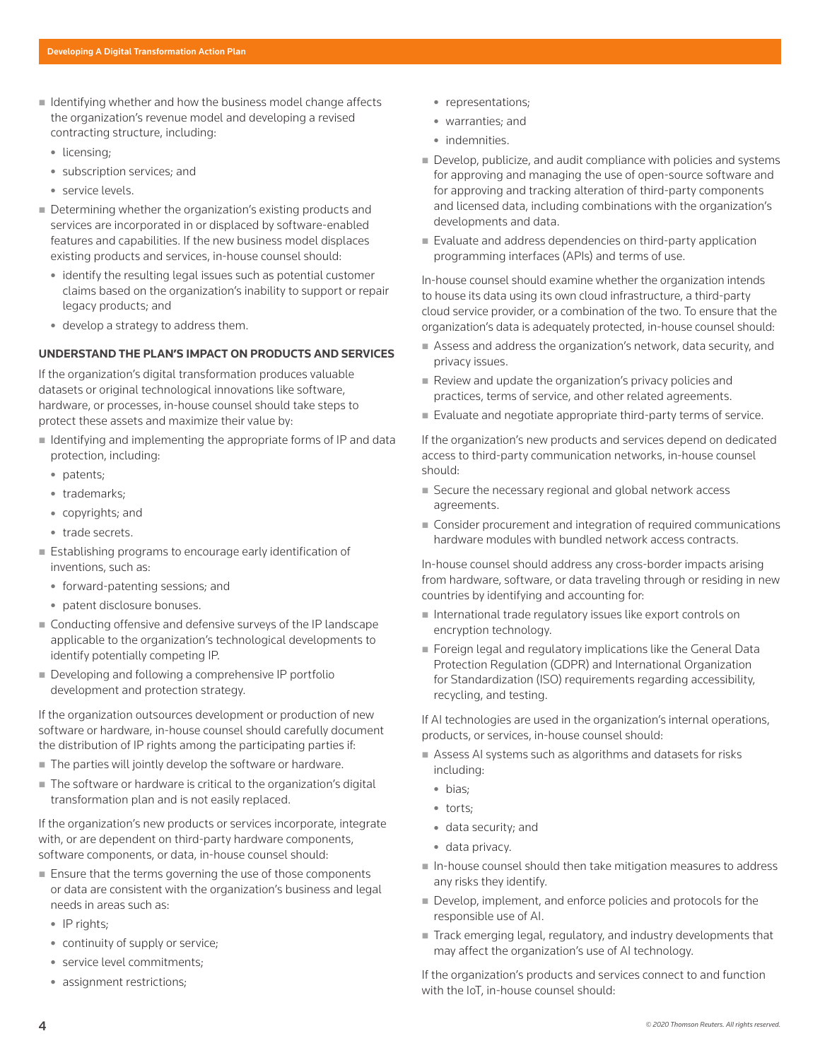- $\blacksquare$  Identifying whether and how the business model change affects the organization's revenue model and developing a revised contracting structure, including:
	- licensing;
	- subscription services; and
	- · service levels.
- Determining whether the organization's existing products and services are incorporated in or displaced by software-enabled features and capabilities. If the new business model displaces existing products and services, in-house counsel should:
	- identify the resulting legal issues such as potential customer claims based on the organization's inability to support or repair legacy products; and
	- $\bullet$  develop a strategy to address them.

# **UNDERSTAND THE PLAN'S IMPACT ON PRODUCTS AND SERVICES**

If the organization's digital transformation produces valuable datasets or original technological innovations like software, hardware, or processes, in-house counsel should take steps to protect these assets and maximize their value by:

- I Identifying and implementing the appropriate forms of IP and data protection, including:
	- patents;
	- trademarks;
	- copyrights; and
	- trade secrets.
- Establishing programs to encourage early identification of inventions, such as:
	- $\bullet$  forward-patenting sessions; and
	- patent disclosure bonuses.
- Conducting offensive and defensive surveys of the IP landscape applicable to the organization's technological developments to identify potentially competing IP.
- Developing and following a comprehensive IP portfolio development and protection strategy.

If the organization outsources development or production of new software or hardware, in-house counsel should carefully document the distribution of IP rights among the participating parties if:

- The parties will jointly develop the software or hardware.
- The software or hardware is critical to the organization's digital transformation plan and is not easily replaced.

If the organization's new products or services incorporate, integrate with, or are dependent on third-party hardware components, software components, or data, in-house counsel should:

- Ensure that the terms governing the use of those components or data are consistent with the organization's business and legal needs in areas such as:
	- $\bullet$  IP rights;
	- continuity of supply or service;
	- service level commitments;
	- assignment restrictions;
- representations;
- warranties: and
- indemnities.
- Develop, publicize, and audit compliance with policies and systems for approving and managing the use of open-source software and for approving and tracking alteration of third-party components and licensed data, including combinations with the organization's developments and data.
- Evaluate and address dependencies on third-party application programming interfaces (APIs) and terms of use.

In-house counsel should examine whether the organization intends to house its data using its own cloud infrastructure, a third-party cloud service provider, or a combination of the two. To ensure that the organization's data is adequately protected, in-house counsel should:

- Assess and address the organization's network, data security, and privacy issues.
- Review and update the organization's privacy policies and practices, terms of service, and other related agreements.
- Evaluate and negotiate appropriate third-party terms of service.

If the organization's new products and services depend on dedicated access to third-party communication networks, in-house counsel should:

- Secure the necessary regional and global network access agreements.
- Consider procurement and integration of required communications hardware modules with bundled network access contracts.

In-house counsel should address any cross-border impacts arising from hardware, software, or data traveling through or residing in new countries by identifying and accounting for:

- International trade regulatory issues like export controls on encryption technology.
- Foreign legal and regulatory implications like the General Data Protection Regulation (GDPR) and International Organization for Standardization (ISO) requirements regarding accessibility, recycling, and testing.

If AI technologies are used in the organization's internal operations, products, or services, in-house counsel should:

- Assess AI systems such as algorithms and datasets for risks including:
	- bias;
	- torts;
	- data security; and
	- data privacy.
- In-house counsel should then take mitigation measures to address any risks they identify.
- Develop, implement, and enforce policies and protocols for the responsible use of AI.
- Track emerging legal, regulatory, and industry developments that may affect the organization's use of AI technology.

If the organization's products and services connect to and function with the IoT, in-house counsel should: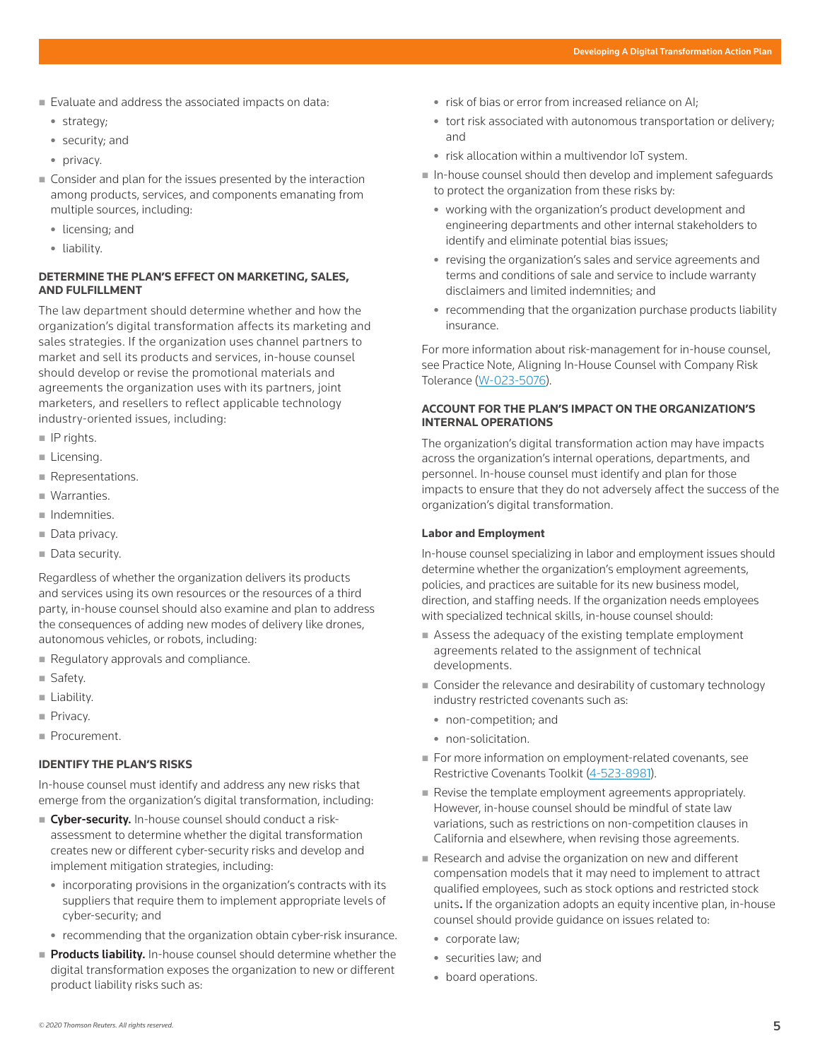- Evaluate and address the associated impacts on data:
	- strategy;
	- security; and
	- privacy.
- Consider and plan for the issues presented by the interaction among products, services, and components emanating from multiple sources, including:
	- licensing; and
	- liability.

#### **DETERMINE THE PLAN'S EFFECT ON MARKETING, SALES, AND FULFILLMENT**

The law department should determine whether and how the organization's digital transformation affects its marketing and sales strategies. If the organization uses channel partners to market and sell its products and services, in-house counsel should develop or revise the promotional materials and agreements the organization uses with its partners, joint marketers, and resellers to reflect applicable technology industry-oriented issues, including:

- $\blacksquare$  IP rights.
- **Licensing.**
- Representations.
- **Warranties.**
- $\blacksquare$  Indemnities.
- Data privacy.
- Data security.

Regardless of whether the organization delivers its products and services using its own resources or the resources of a third party, in-house counsel should also examine and plan to address the consequences of adding new modes of delivery like drones, autonomous vehicles, or robots, including:

- Regulatory approvals and compliance.
- Safety.
- **Liability.**
- Privacy.
- Procurement.

#### **IDENTIFY THE PLAN'S RISKS**

In-house counsel must identify and address any new risks that emerge from the organization's digital transformation, including:

- **Cyber-security.** In-house counsel should conduct a riskassessment to determine whether the digital transformation creates new or different cyber-security risks and develop and implement mitigation strategies, including:
	- incorporating provisions in the organization's contracts with its suppliers that require them to implement appropriate levels of cyber-security; and
	- recommending that the organization obtain cyber-risk insurance.
- Products liability. In-house counsel should determine whether the digital transformation exposes the organization to new or different product liability risks such as:
- risk of bias or error from increased reliance on AI;
- tort risk associated with autonomous transportation or delivery; and
- risk allocation within a multivendor IoT system.
- In-house counsel should then develop and implement safeguards to protect the organization from these risks by:
	- working with the organization's product development and engineering departments and other internal stakeholders to identify and eliminate potential bias issues;
	- revising the organization's sales and service agreements and terms and conditions of sale and service to include warranty disclaimers and limited indemnities; and
	- recommending that the organization purchase products liability insurance.

For more information about risk-management for in-house counsel, see Practice Note, Aligning In-House Counsel with Company Risk Tolerance (W-023-5076).

#### **ACCOUNT FOR THE PLAN'S IMPACT ON THE ORGANIZATION'S INTERNAL OPERATIONS**

The organization's digital transformation action may have impacts across the organization's internal operations, departments, and personnel. In-house counsel must identify and plan for those impacts to ensure that they do not adversely affect the success of the organization's digital transformation.

#### **Labor and Employment**

In-house counsel specializing in labor and employment issues should determine whether the organization's employment agreements, policies, and practices are suitable for its new business model, direction, and staffing needs. If the organization needs employees with specialized technical skills, in-house counsel should:

- Assess the adequacy of the existing template employment agreements related to the assignment of technical developments.
- Consider the relevance and desirability of customary technology industry restricted covenants such as:
	- non-competition; and
	- non-solicitation.
- For more information on employment-related covenants, see Restrictive Covenants Toolkit (4-523-8981).
- Revise the template employment agreements appropriately. However, in-house counsel should be mindful of state law variations, such as restrictions on non-competition clauses in California and elsewhere, when revising those agreements.
- Research and advise the organization on new and different compensation models that it may need to implement to attract qualified employees, such as stock options and restricted stock units. If the organization adopts an equity incentive plan, in-house counsel should provide guidance on issues related to:
	- corporate law;
	- securities law; and
	- board operations.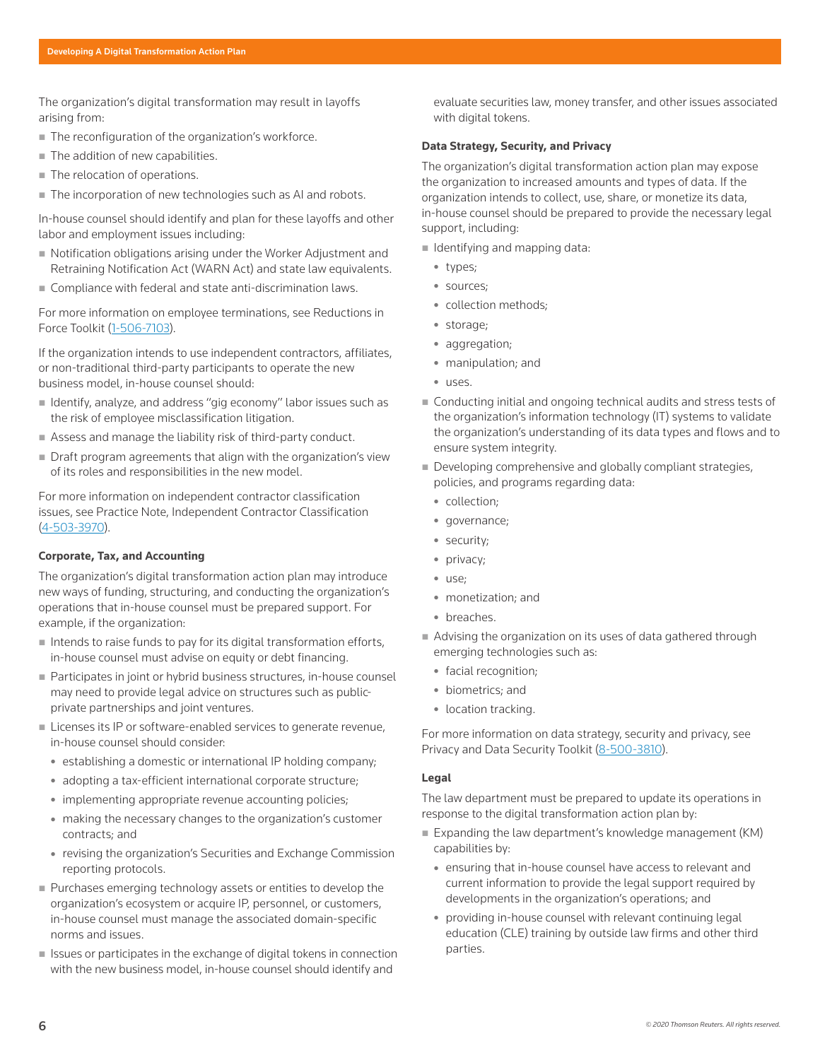The organization's digital transformation may result in layoffs arising from:

- The reconfiguration of the organization's workforce.
- The addition of new capabilities.
- The relocation of operations.
- The incorporation of new technologies such as AI and robots.

In-house counsel should identify and plan for these layoffs and other labor and employment issues including:

- Notification obligations arising under the Worker Adjustment and Retraining Notification Act (WARN Act) and state law equivalents.
- **Compliance with federal and state anti-discrimination laws.**

For more information on employee terminations, see Reductions in Force Toolkit (1-506-7103).

If the organization intends to use independent contractors, affiliates, or non-traditional third-party participants to operate the new business model, in-house counsel should:

- Identify, analyze, and address "gig economy" labor issues such as the risk of employee misclassification litigation.
- Assess and manage the liability risk of third-party conduct.
- Draft program agreements that align with the organization's view of its roles and responsibilities in the new model.

For more information on independent contractor classification issues, see Practice Note, Independent Contractor Classification (4-503-3970).

#### **Corporate, Tax, and Accounting**

The organization's digital transformation action plan may introduce new ways of funding, structuring, and conducting the organization's operations that in-house counsel must be prepared support. For example, if the organization:

- $\blacksquare$  Intends to raise funds to pay for its digital transformation efforts, in-house counsel must advise on equity or debt financing.
- Participates in joint or hybrid business structures, in-house counsel may need to provide legal advice on structures such as publicprivate partnerships and joint ventures.
- **Licenses its IP or software-enabled services to generate revenue,** in-house counsel should consider:
	- establishing a domestic or international IP holding company;
	- adopting a tax-efficient international corporate structure;
	- implementing appropriate revenue accounting policies;
	- making the necessary changes to the organization's customer contracts; and
	- revising the organization's Securities and Exchange Commission reporting protocols.
- Purchases emerging technology assets or entities to develop the organization's ecosystem or acquire IP, personnel, or customers, in-house counsel must manage the associated domain-specific norms and issues.
- $\blacksquare$  Issues or participates in the exchange of digital tokens in connection with the new business model, in-house counsel should identify and

evaluate securities law, money transfer, and other issues associated with digital tokens.

#### **Data Strategy, Security, and Privacy**

The organization's digital transformation action plan may expose the organization to increased amounts and types of data. If the organization intends to collect, use, share, or monetize its data, in-house counsel should be prepared to provide the necessary legal support, including:

- $\blacksquare$  Identifying and mapping data:
	- types;
	- sources;
	- collection methods:
	- storage;
	- aggregation;
	- manipulation; and
	- <sup>z</sup> uses.
- Conducting initial and ongoing technical audits and stress tests of the organization's information technology (IT) systems to validate the organization's understanding of its data types and flows and to ensure system integrity.
- Developing comprehensive and globally compliant strategies, policies, and programs regarding data:
	- collection;
	- governance;
	- security;
	- privacy;
	- use;
	- monetization; and
	- breaches.
- Advising the organization on its uses of data gathered through emerging technologies such as:
	- facial recognition;
	- biometrics; and
	- location tracking.

For more information on data strategy, security and privacy, see Privacy and Data Security Toolkit (8-500-3810).

#### **Legal**

The law department must be prepared to update its operations in response to the digital transformation action plan by:

- Expanding the law department's knowledge management (KM) capabilities by:
	- ensuring that in-house counsel have access to relevant and current information to provide the legal support required by developments in the organization's operations; and
	- providing in-house counsel with relevant continuing legal education (CLE) training by outside law firms and other third parties.